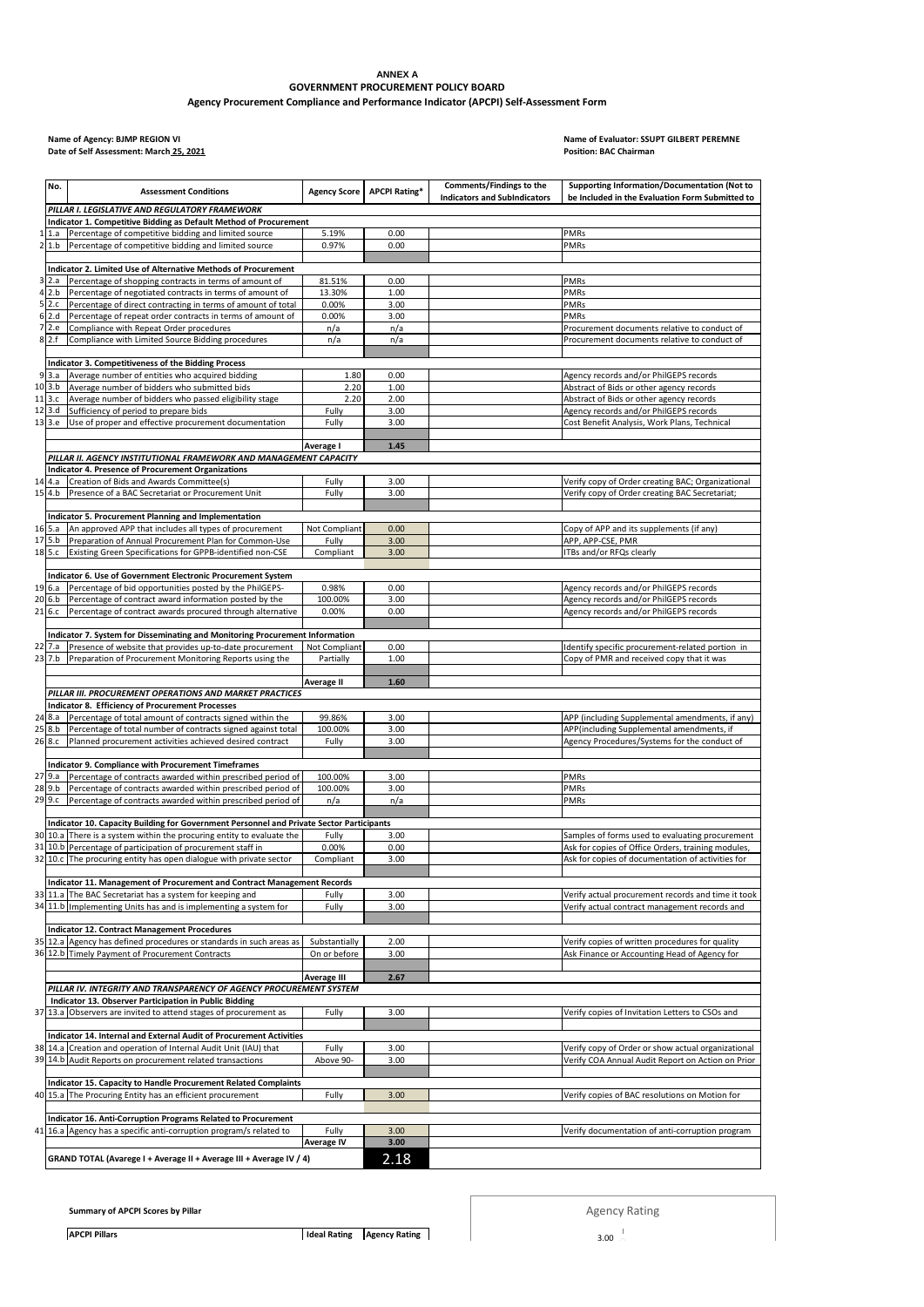## **ANNEX A**

## **GOVERNMENT PROCUREMENT POLICY BOARD Agency Procurement Compliance and Performance Indicator (APCPI) Self-Assessment Form**

## **Date of Self Assessment: March 25, 2021**

## **Name of Agency: BJMP REGION VI Name of Evaluator: SSUPT GILBERT PEREMNE**

|                | No.              | <b>Assessment Conditions</b>                                                                                                            | <b>Agency Score</b> | <b>APCPI Rating*</b> | Comments/Findings to the<br><b>Indicators and SubIndicators</b> | Supporting Information/Documentation (Not to<br>be Included in the Evaluation Form Submitted to       |  |  |  |  |  |
|----------------|------------------|-----------------------------------------------------------------------------------------------------------------------------------------|---------------------|----------------------|-----------------------------------------------------------------|-------------------------------------------------------------------------------------------------------|--|--|--|--|--|
|                |                  | PILLAR I. LEGISLATIVE AND REGULATORY FRAMEWORK                                                                                          |                     |                      |                                                                 |                                                                                                       |  |  |  |  |  |
|                |                  | Indicator 1. Competitive Bidding as Default Method of Procurement                                                                       |                     |                      |                                                                 |                                                                                                       |  |  |  |  |  |
| 1              | 1.a              | Percentage of competitive bidding and limited source                                                                                    | 5.19%               | 0.00                 |                                                                 | PMRs                                                                                                  |  |  |  |  |  |
| $\overline{2}$ | 1.b              | Percentage of competitive bidding and limited source                                                                                    | 0.97%               | 0.00                 |                                                                 | PMRs                                                                                                  |  |  |  |  |  |
|                |                  | Indicator 2. Limited Use of Alternative Methods of Procurement                                                                          |                     |                      |                                                                 |                                                                                                       |  |  |  |  |  |
| 3              | 2.a              | Percentage of shopping contracts in terms of amount of                                                                                  | 81.51%              | 0.00                 |                                                                 | PMRs                                                                                                  |  |  |  |  |  |
| 4              | 2.b              | Percentage of negotiated contracts in terms of amount of                                                                                | 13.30%              | 1.00                 |                                                                 | PMRs                                                                                                  |  |  |  |  |  |
| 5              | 2.c              | Percentage of direct contracting in terms of amount of total                                                                            | 0.00%               | 3.00                 |                                                                 | PMRs                                                                                                  |  |  |  |  |  |
| 6              | 2.d              | Percentage of repeat order contracts in terms of amount of                                                                              | 0.00%               | 3.00                 |                                                                 | PMRs                                                                                                  |  |  |  |  |  |
| $\overline{7}$ | 2.e              | Compliance with Repeat Order procedures                                                                                                 | n/a                 | n/a                  |                                                                 | Procurement documents relative to conduct of                                                          |  |  |  |  |  |
| 8              | 2.f              | Compliance with Limited Source Bidding procedures                                                                                       | n/a                 | n/a                  |                                                                 | Procurement documents relative to conduct of                                                          |  |  |  |  |  |
|                |                  |                                                                                                                                         |                     |                      |                                                                 |                                                                                                       |  |  |  |  |  |
| 9              | 3.a              | Indicator 3. Competitiveness of the Bidding Process                                                                                     | 1.80                | 0.00                 |                                                                 | Agency records and/or PhilGEPS records                                                                |  |  |  |  |  |
|                | $10$ $3.b$       | Average number of entities who acquired bidding<br>Average number of bidders who submitted bids                                         | 2.20                | 1.00                 |                                                                 | Abstract of Bids or other agency records                                                              |  |  |  |  |  |
|                | 11 3.c           | Average number of bidders who passed eligibility stage                                                                                  | 2.20                | 2.00                 |                                                                 | Abstract of Bids or other agency records                                                              |  |  |  |  |  |
| 12             | 3.d              | Sufficiency of period to prepare bids                                                                                                   | Fully               | 3.00                 |                                                                 | Agency records and/or PhilGEPS records                                                                |  |  |  |  |  |
| 13             | 3.e              | Use of proper and effective procurement documentation                                                                                   | Fully               | 3.00                 |                                                                 | Cost Benefit Analysis, Work Plans, Technical                                                          |  |  |  |  |  |
|                |                  |                                                                                                                                         |                     |                      |                                                                 |                                                                                                       |  |  |  |  |  |
|                |                  |                                                                                                                                         | Average I           | 1.45                 |                                                                 |                                                                                                       |  |  |  |  |  |
|                |                  | PILLAR II. AGENCY INSTITUTIONAL FRAMEWORK AND MANAGEMENT CAPACITY                                                                       |                     |                      |                                                                 |                                                                                                       |  |  |  |  |  |
|                |                  | <b>Indicator 4. Presence of Procurement Organizations</b>                                                                               |                     |                      |                                                                 |                                                                                                       |  |  |  |  |  |
|                | 14 4.a<br>15 4.b | Creation of Bids and Awards Committee(s)<br>Presence of a BAC Secretariat or Procurement Unit                                           | Fully               | 3.00<br>3.00         |                                                                 | Verify copy of Order creating BAC; Organizational                                                     |  |  |  |  |  |
|                |                  |                                                                                                                                         | Fully               |                      |                                                                 | Verify copy of Order creating BAC Secretariat;                                                        |  |  |  |  |  |
|                |                  | Indicator 5. Procurement Planning and Implementation                                                                                    |                     |                      |                                                                 |                                                                                                       |  |  |  |  |  |
|                | $16$ 5.a         | An approved APP that includes all types of procurement                                                                                  | Not Compliant       | 0.00                 |                                                                 | Copy of APP and its supplements (if any)                                                              |  |  |  |  |  |
|                | 17 5.b           | Preparation of Annual Procurement Plan for Common-Use                                                                                   | Fully               | 3.00                 |                                                                 | APP, APP-CSE, PMR                                                                                     |  |  |  |  |  |
|                | 18 5.c           | Existing Green Specifications for GPPB-identified non-CSE                                                                               | Compliant           | 3.00                 |                                                                 | ITBs and/or RFQs clearly                                                                              |  |  |  |  |  |
|                |                  |                                                                                                                                         |                     |                      |                                                                 |                                                                                                       |  |  |  |  |  |
|                |                  | Indicator 6. Use of Government Electronic Procurement System                                                                            |                     |                      |                                                                 |                                                                                                       |  |  |  |  |  |
|                |                  | 19 6.a Percentage of bid opportunities posted by the PhilGEPS-                                                                          | 0.98%               | 0.00                 |                                                                 | Agency records and/or PhilGEPS records                                                                |  |  |  |  |  |
|                | 20 6.b<br>21 6.c | Percentage of contract award information posted by the<br>Percentage of contract awards procured through alternative                    | 100.00%<br>0.00%    | 3.00<br>0.00         |                                                                 | Agency records and/or PhilGEPS records<br>Agency records and/or PhilGEPS records                      |  |  |  |  |  |
|                |                  |                                                                                                                                         |                     |                      |                                                                 |                                                                                                       |  |  |  |  |  |
|                |                  | Indicator 7. System for Disseminating and Monitoring Procurement Information                                                            |                     |                      |                                                                 |                                                                                                       |  |  |  |  |  |
|                | 22 7.a           | Presence of website that provides up-to-date procurement                                                                                | Not Compliant       | 0.00                 |                                                                 | Identify specific procurement-related portion in                                                      |  |  |  |  |  |
|                | 23 7.b           | Preparation of Procurement Monitoring Reports using the                                                                                 | Partially           | 1.00                 |                                                                 | Copy of PMR and received copy that it was                                                             |  |  |  |  |  |
|                |                  |                                                                                                                                         |                     |                      |                                                                 |                                                                                                       |  |  |  |  |  |
|                |                  |                                                                                                                                         | <b>Average II</b>   | 1.60                 |                                                                 |                                                                                                       |  |  |  |  |  |
|                |                  |                                                                                                                                         |                     |                      |                                                                 |                                                                                                       |  |  |  |  |  |
|                |                  | PILLAR III. PROCUREMENT OPERATIONS AND MARKET PRACTICES                                                                                 |                     |                      |                                                                 |                                                                                                       |  |  |  |  |  |
|                |                  | <b>Indicator 8. Efficiency of Procurement Processes</b>                                                                                 |                     |                      |                                                                 |                                                                                                       |  |  |  |  |  |
|                | 24 8.a           | Percentage of total amount of contracts signed within the                                                                               | 99.86%              | 3.00                 |                                                                 | APP (including Supplemental amendments, if any)                                                       |  |  |  |  |  |
|                | 25 8.b           | Percentage of total number of contracts signed against total                                                                            | 100.00%             | 3.00                 |                                                                 | APP(including Supplemental amendments, if                                                             |  |  |  |  |  |
|                | 26 8.c           | Planned procurement activities achieved desired contract                                                                                | Fully               | 3.00                 |                                                                 | Agency Procedures/Systems for the conduct of                                                          |  |  |  |  |  |
|                |                  | <b>Indicator 9. Compliance with Procurement Timeframes</b>                                                                              |                     |                      |                                                                 |                                                                                                       |  |  |  |  |  |
|                | 27 9.a           | Percentage of contracts awarded within prescribed period of                                                                             | 100.00%             | 3.00                 |                                                                 | <b>PMRs</b>                                                                                           |  |  |  |  |  |
|                | 28 9.b           | Percentage of contracts awarded within prescribed period of                                                                             | 100.00%             | 3.00                 |                                                                 | <b>PMRs</b>                                                                                           |  |  |  |  |  |
|                | 29 9.c           | Percentage of contracts awarded within prescribed period of                                                                             | n/a                 | n/a                  |                                                                 | PMRs                                                                                                  |  |  |  |  |  |
|                |                  |                                                                                                                                         |                     |                      |                                                                 |                                                                                                       |  |  |  |  |  |
|                |                  | Indicator 10. Capacity Building for Government Personnel and Private Sector Participants                                                |                     |                      |                                                                 |                                                                                                       |  |  |  |  |  |
|                |                  | 30 10.a There is a system within the procuring entity to evaluate the<br>31 10.b Percentage of participation of procurement staff in    | Fully<br>0.00%      | 3.00<br>0.00         |                                                                 | Samples of forms used to evaluating procurement<br>Ask for copies of Office Orders, training modules, |  |  |  |  |  |
| 32             |                  | 10.c The procuring entity has open dialogue with private sector                                                                         | Compliant           | 3.00                 |                                                                 | Ask for copies of documentation of activities for                                                     |  |  |  |  |  |
|                |                  |                                                                                                                                         |                     |                      |                                                                 |                                                                                                       |  |  |  |  |  |
|                |                  | Indicator 11. Management of Procurement and Contract Management Records                                                                 |                     |                      |                                                                 |                                                                                                       |  |  |  |  |  |
|                |                  | 33 11.a The BAC Secretariat has a system for keeping and                                                                                | Fully               | 3.00                 |                                                                 | Verify actual procurement records and time it took                                                    |  |  |  |  |  |
|                |                  | 34 11.b Implementing Units has and is implementing a system for                                                                         | Fully               | 3.00                 |                                                                 | Verify actual contract management records and                                                         |  |  |  |  |  |
|                |                  |                                                                                                                                         |                     |                      |                                                                 |                                                                                                       |  |  |  |  |  |
| 35             |                  | <b>Indicator 12. Contract Management Procedures</b>                                                                                     | Substantially       |                      |                                                                 |                                                                                                       |  |  |  |  |  |
|                |                  | 12.a Agency has defined procedures or standards in such areas as<br>36 12.b Timely Payment of Procurement Contracts                     | On or before        | 2.00<br>3.00         |                                                                 | Verify copies of written procedures for quality<br>Ask Finance or Accounting Head of Agency for       |  |  |  |  |  |
|                |                  |                                                                                                                                         |                     |                      |                                                                 |                                                                                                       |  |  |  |  |  |
|                |                  |                                                                                                                                         | <b>Average III</b>  | 2.67                 |                                                                 |                                                                                                       |  |  |  |  |  |
|                |                  | PILLAR IV. INTEGRITY AND TRANSPARENCY OF AGENCY PROCUREMENT SYSTEM                                                                      |                     |                      |                                                                 |                                                                                                       |  |  |  |  |  |
|                |                  | Indicator 13. Observer Participation in Public Bidding                                                                                  |                     |                      |                                                                 |                                                                                                       |  |  |  |  |  |
|                |                  | 37 13.a Observers are invited to attend stages of procurement as                                                                        | Fully               | 3.00                 |                                                                 | Verify copies of Invitation Letters to CSOs and                                                       |  |  |  |  |  |
|                |                  |                                                                                                                                         |                     |                      |                                                                 |                                                                                                       |  |  |  |  |  |
|                |                  | Indicator 14. Internal and External Audit of Procurement Activities<br>38 14.a Creation and operation of Internal Audit Unit (IAU) that | Fully               | 3.00                 |                                                                 | Verify copy of Order or show actual organizational                                                    |  |  |  |  |  |
|                |                  | 39 14.b Audit Reports on procurement related transactions                                                                               | Above 90-           | 3.00                 |                                                                 | Verify COA Annual Audit Report on Action on Prior                                                     |  |  |  |  |  |
|                |                  |                                                                                                                                         |                     |                      |                                                                 |                                                                                                       |  |  |  |  |  |
|                |                  | <b>Indicator 15. Capacity to Handle Procurement Related Complaints</b>                                                                  |                     |                      |                                                                 |                                                                                                       |  |  |  |  |  |
|                |                  | 40 15.a The Procuring Entity has an efficient procurement                                                                               | Fully               | 3.00                 |                                                                 | Verify copies of BAC resolutions on Motion for                                                        |  |  |  |  |  |
|                |                  |                                                                                                                                         |                     |                      |                                                                 |                                                                                                       |  |  |  |  |  |
|                |                  | <b>Indicator 16. Anti-Corruption Programs Related to Procurement</b>                                                                    |                     |                      |                                                                 |                                                                                                       |  |  |  |  |  |
|                |                  | 41 16.a Agency has a specific anti-corruption program/s related to                                                                      | Fully               | 3.00                 |                                                                 | Verify documentation of anti-corruption program                                                       |  |  |  |  |  |
|                |                  | GRAND TOTAL (Avarege I + Average II + Average III + Average IV / 4)                                                                     | <b>Average IV</b>   | 3.00<br>2.18         |                                                                 |                                                                                                       |  |  |  |  |  |

**Summary of APCPI Scores by Pillar**